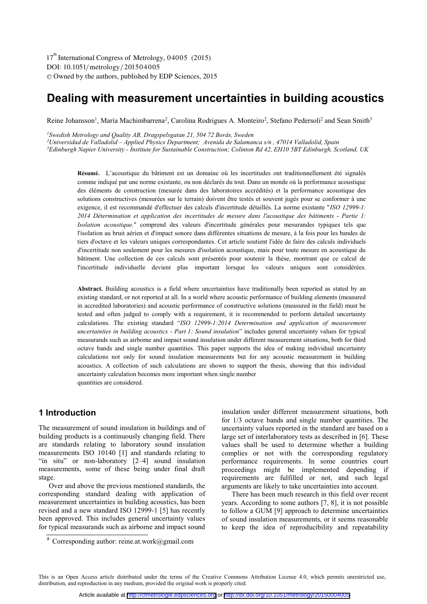DOI: 10.1051/metrology/201504005 -<sup>C</sup> Owned by the authors, published by EDP Sciences, 2015 17<sup>th</sup> International Congress of Metrology, 04005 (2015)

# **Dealing with measurement uncertainties in building acoustics**

Reine Johansson<sup>1</sup>, María Machimbarrena<sup>2</sup>, Carolina Rodrigues A. Monteiro<sup>2</sup>, Stefano Pedersoli<sup>2</sup> and Sean Smith<sup>3</sup>

<sup>1</sup> Swedish Metrology and Quality AB, Dragspelsgatan 21, 504 72 Borås, Sweden<br><sup>2</sup>Universidad de Valladolid – Applied Physics Department; Avenida de Salamanca s/n , 47014 Valladolid, Spain

<sup>3</sup>Edinburgh Napier University - Institute for Sustainable Construction; Colinton Rd 42, EH10 5BT Edinburgh, Scotland, UK

L'acoustique du bâtiment est un domaine où les incertitudes ont traditionnellement été signalés **Résumé.**  comme indiqué par une norme existante, ou non déclarés du tout. Dans un monde où la performance acoustique des éléments de construction (mesurée dans des laboratoires accrédités) et la performance acoustique des solutions constructives (mesurées sur le terrain) doivent être testés et souvent jugés pour se conformer à une exigence, il est recommandé d'effectuer des calculs d'incertitude détaillés. La norme existante "*ISO 12999-1: 2014 Détermination et application des incertitudes de mesure dans l'acoustique des bâtiments - Partie 1: Isolation acoustique*." comprend des valeurs d'incertitude générales pour mesurandes typiques tels que l'isolation au bruit aérien et d'impact sonore dans différentes situations de mesure, à la fois pour les bandes de tiers d'octave et les valeurs uniques correspondantes. Cet article soutient l'idée de faire des calculs individuels d'incertitude non seulement pour les mesures d'isolation acoustique, mais pour toute mesure en acoustique du bâtiment. Une collection de ces calculs sont présentés pour soutenir la thèse, montrant que ce calcul de l'incertitude individuelle devient plus important lorsque les valeurs uniques sont considérées.

**Abstract.** Building acoustics is a field where uncertainties have traditionally been reported as stated by an existing standard, or not reported at all. In a world where acoustic performance of building elements (measured in accredited laboratories) and acoustic performance of constructive solutions (measured in the field) must be tested and often judged to comply with a requirement, it is recommended to perform detailed uncertainty calculations. The existing standard "*ISO 12999-1:2014 Determination and application of measurement uncertainties in building acoustics - Part 1: Sound insulation*" includes general uncertainty values for typical measurands such as airborne and impact sound insulation under different measurement situations, both for third octave bands and single number quantities. This paper supports the idea of making individual uncertainty calculations not only for sound insulation measurements but for any acoustic measurement in building acoustics. A collection of such calculations are shown to support the thesis, showing that this individual uncertainty calculation becomes more important when single number quantities are considered.

### **1 Introduction**

The measurement of sound insulation in buildings and of building products is a continuously changing field. There are standards relating to laboratory sound insulation measurements ISO 10140 [1] and standards relating to "in situ" or non-laboratory [2–4] sound insulation measurements, some of these being under final draft stage.

Over and above the previous mentioned standards, the corresponding standard dealing with application of measurement uncertainties in building acoustics, has been revised and a new standard ISO 12999-1 [5] has recently been approved. This includes general uncertainty values for typical measurands such as airborne and impact sound

insulation under different measurement situations, both for 1/3 octave bands and single number quantities. The uncertainty values reported in the standard are based on a large set of interlaboratory tests as described in [6]. These values shall be used to determine whether a building complies or not with the corresponding regulatory performance requirements. In some countries court proceedings might be implemented depending if requirements are fulfilled or not, and such legal arguments are likely to take uncertainties into account.

There has been much research in this field over recent years. According to some authors [7, 8], it is not possible to follow a GUM [9] approach to determine uncertainties of sound insulation measurements, or it seems reasonable to keep the idea of reproducibility and repeatability

This is an Open Access article distributed under the terms of the Creative Commons Attribution License 4.0, which permits unrestricted use, distribution, and reproduction in any medium, provided the original work is properly cited.

a Corresponding author: reine.at.work@gmail.com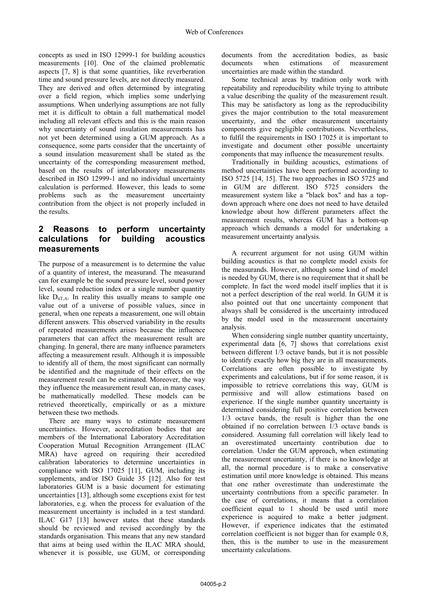concepts as used in ISO 12999-1 for building acoustics measurements [10]. One of the claimed problematic aspects [7, 8] is that some quantities, like reverberation time and sound pressure levels, are not directly measured. They are derived and often determined by integrating over a field region, which implies some underlying assumptions. When underlying assumptions are not fully met it is difficult to obtain a full mathematical model including all relevant effects and this is the main reason why uncertainty of sound insulation measurements has not yet been determined using a GUM approach. As a consequence, some parts consider that the uncertainty of a sound insulation measurement shall be stated as the uncertainty of the corresponding measurement method, based on the results of interlaboratory measurements described in ISO 12999-1 and no individual uncertainty calculation is performed. However, this leads to some problems such as the measurement uncertainty contribution from the object is not properly included in the results.

## **2 Reasons to perform uncertainty calculations for building acoustics measurements**

The purpose of a measurement is to determine the value of a quantity of interest, the measurand. The measurand can for example be the sound pressure level, sound power level, sound reduction index or a single number quantity like  $D_{nTA}$ . In reality this usually means to sample one value out of a universe of possible values, since in general, when one repeats a measurement, one will obtain different answers. This observed variability in the results of repeated measurements arises because the influence parameters that can affect the measurement result are changing. In general, there are many influence parameters affecting a measurement result. Although it is impossible to identify all of them, the most significant can normally be identified and the magnitude of their effects on the measurement result can be estimated. Moreover, the way they influence the measurement result can, in many cases, be mathematically modelled. These models can be retrieved theoretically, empirically or as a mixture between these two methods.

There are many ways to estimate measurement uncertainties. However, accreditation bodies that are members of the International Laboratory Accreditation Cooperation Mutual Recognition Arrangement (ILAC MRA) have agreed on requiring their accredited calibration laboratories to determine uncertainties in compliance with ISO 17025 [11], GUM, including its supplements, and/or ISO Guide 35 [12]. Also for test laboratories GUM is a basic document for estimating uncertainties [13], although some exceptions exist for test laboratories, e.g. when the process for evaluation of the measurement uncertainty is included in a test standard. ILAC G17 [13] however states that these standards should be reviewed and revised accordingly by the standards organisation. This means that any new standard that aims at being used within the ILAC MRA should, whenever it is possible, use GUM, or corresponding

documents from the accreditation bodies, as basic<br>documents when estimations of measurement documents when estimations of measurement uncertainties are made within the standard.

Some technical areas by tradition only work with repeatability and reproducibility while trying to attribute a value describing the quality of the measurement result. This may be satisfactory as long as the reproducibility gives the major contribution to the total measurement uncertainty, and the other measurement uncertainty components give negligible contributions. Nevertheless, to fulfil the requirements in ISO 17025 it is important to investigate and document other possible uncertainty components that may influence the measurement results.

Traditionally in building acoustics, estimations of method uncertainties have been performed according to ISO 5725 [14, 15]. The two approaches in ISO 5725 and in GUM are different. ISO 5725 considers the measurement system like a "black box" and has a topdown approach where one does not need to have detailed knowledge about how different parameters affect the measurement results, whereas GUM has a bottom-up approach which demands a model for undertaking a measurement uncertainty analysis.

A recurrent argument for not using GUM within building acoustics is that no complete model exists for the measurands. However, although some kind of model is needed by GUM, there is no requirement that it shall be complete. In fact the word model itself implies that it is not a perfect description of the real world. In GUM it is also pointed out that one uncertainty component that always shall be considered is the uncertainty introduced by the model used in the measurement uncertainty analysis.

When considering single number quantity uncertainty, experimental data [6, 7] shows that correlations exist between different 1/3 octave bands, but it is not possible to identify exactly how big they are in all measurements. Correlations are often possible to investigate by experiments and calculations, but if for some reason, it is impossible to retrieve correlations this way, GUM is permissive and will allow estimations based on experience. If the single number quantity uncertainty is determined considering full positive correlation between 1/3 octave bands, the result is higher than the one obtained if no correlation between 1/3 octave bands is considered. Assuming full correlation will likely lead to an overestimated uncertainty contribution due to correlation. Under the GUM approach, when estimating the measurement uncertainty, if there is no knowledge at all, the normal procedure is to make a conservative estimation until more knowledge is obtained. This means that one rather overestimate than underestimate the uncertainty contributions from a specific parameter. In the case of correlations, it means that a correlation coefficient equal to 1 should be used until more experience is acquired to make a better judgment. However, if experience indicates that the estimated correlation coefficient is not bigger than for example 0.8, then, this is the number to use in the measurement uncertainty calculations.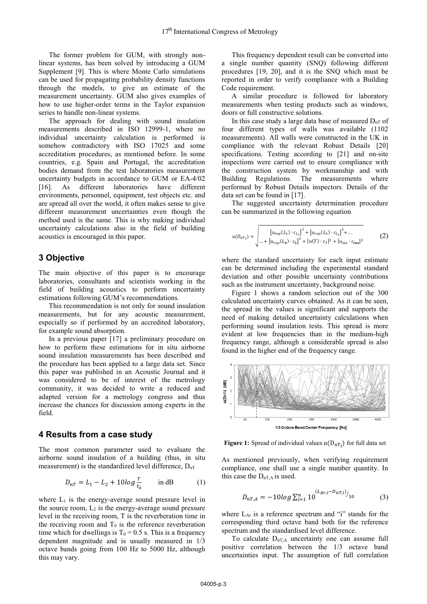The former problem for GUM, with strongly nonlinear systems, has been solved by introducing a GUM Supplement [9]. This is where Monte Carlo simulations can be used for propagating probability density functions through the models, to give an estimate of the measurement uncertainty. GUM also gives examples of how to use higher-order terms in the Taylor expansion series to handle non-linear systems.

The approach for dealing with sound insulation measurements described in ISO 12999-1, where no individual uncertainty calculation is performed is somehow contradictory with ISO 17025 and some accreditation procedures, as mentioned before. In some countries, e.g. Spain and Portugal, the accreditation bodies demand from the test laboratories measurement uncertainty budgets in accordance to GUM or EA-4/02 [16]. As different laboratories have different environments, personnel, equipment, test objects etc. and are spread all over the world, it often makes sense to give different measurement uncertainties even though the method used is the same. This is why making individual uncertainty calculations also in the field of building acoustics is encouraged in this paper.

### **3 Objective**

The main objective of this paper is to encourage laboratories, consultants and scientists working in the field of building acoustics to perform uncertainty estimations following GUM's recommendations.

This recommendation is not only for sound insulation measurements, but for any acoustic measurement, especially so if performed by an accredited laboratory, for example sound absorption.

In a previous paper [17] a preliminary procedure on how to perform these estimations for in situ airborne sound insulation measurements has been described and the procedure has been applied to a large data set. Since this paper was published in an Acoustic Journal and it was considered to be of interest of the metrology community, it was decided to write a reduced and adapted version for a metrology congress and thus increase the chances for discussion among experts in the field.

#### **4 Results from a case study**

The most common parameter used to evaluate the airborne sound insulation of a building (thus, in situ measurement) is the standardized level difference,  $D_{nT}$ 

$$
D_{nT} = L_1 - L_2 + 10\log\frac{r}{r_0} \quad \text{in dB} \tag{1}
$$

where  $L_1$  is the energy-average sound pressure level in the source room,  $L_2$  is the energy-average sound pressure level in the receiving room, T is the reverberation time in the receiving room and  $T_0$  is the reference reverberation time which for dwellings is  $T_0 = 0.5$  s. This is a frequency dependent magnitude and is usually measured in 1/3 octave bands going from 100 Hz to 5000 Hz, although this may vary.

This frequency dependent result can be converted into a single number quantity (SNQ) following different procedures [19, 20], and it is the SNQ which must be reported in order to verify compliance with a Building Code requirement.

A similar procedure is followed for laboratory measurements when testing products such as windows, doors or full constructive solutions.

In this case study a large data base of measured  $D_{nT}$  of four different types of walls was available (1102 measurements). All walls were constructed in the UK in compliance with the relevant Robust Details [20] specifications. Testing according to [21] and on-site inspections were carried out to ensure compliance with the construction system by workmanship and with Building Regulations. The measurements where performed by Robust Details inspectors. Details of the data set can be found in [17].

The suggested uncertainty determination procedure can be summarized in the following equation

$$
u(D_{nT_i}) = \sqrt{\left[ u_{rep}(L_1) \cdot c_{L_1} \right]^2 + \left[ u_{rep}(L_2) \cdot c_{L_2} \right]^2 + \dots}
$$
  
 
$$
\dots + \left[ u_{rep}(L_b) \cdot c_b \right]^2 + \left[ u(T) \cdot c_T \right]^2 + \left[ u_{ins} \cdot c_{ins} \right]^2}
$$
 (2)

where the standard uncertainty for each input estimate can be determined including the experimental standard deviation and other possible uncertainty contributions such as the instrument uncertainty, background noise.

Figure 1 shows a random selection out of the 300 calculated uncertainty curves obtained. As it can be seen, the spread in the values is significant and supports the need of making detailed uncertainty calculations when performing sound insulation tests. This spread is more evident at low frequencies than in the medium-high frequency range, although a considerable spread is also found in the higher end of the frequency range.



**Figure 1:** Spread of individual values  $u(D_{nT_i})$  for full data set

As mentioned previously, when verifying requirement compliance, one shall use a single number quantity. In this case the  $D_{nT,A}$  is used.

$$
D_{nT,A} = -10\log \sum_{i=1}^{n} 10^{(L_{Ar,i} - D_{nT,i})} /_{10}
$$
 (3)

where LAr is a reference spectrum and "i" stands for the corresponding third octave band both for the reference spectrum and the standardised level difference.

To calculate  $D_{nT,A}$  uncertainty one can assume full positive correlation between the 1/3 octave band uncertainties input. The assumption of full correlation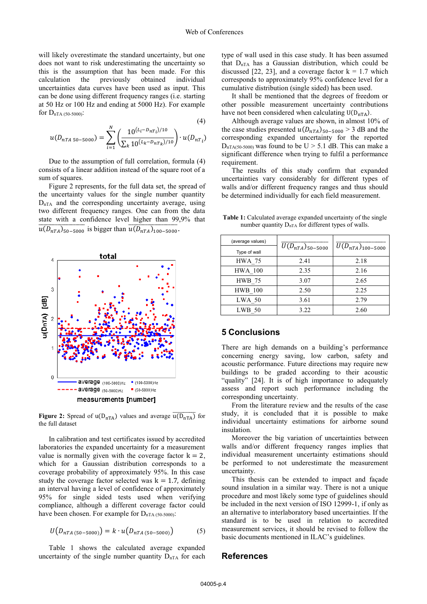$(4)$ 

will likely overestimate the standard uncertainty, but one does not want to risk underestimating the uncertainty so this is the assumption that has been made. For this calculation the previously obtained individual uncertainties data curves have been used as input. This can be done using different frequency ranges (i.e. starting at 50 Hz or 100 Hz and ending at 5000 Hz). For example for  $D_{nTA(50-5000)}$ :

$$
u(D_{nTA\,50-5000}) = \sum_{i=1}^{N} \left( \frac{10^{(L_i - D_n r_i)/10}}{\sum_{k} 10^{(L_k - D_n r_k)/10}} \right) \cdot u(D_{nT_i})
$$

Due to the assumption of full correlation, formula (4) consists of a linear addition instead of the square root of a sum of squares.

Figure 2 represents, for the full data set, the spread of the uncertainty values for the single number quantity  $D_{nTA}$  and the corresponding uncertainty average, using two different frequency ranges. One can from the data state with a confidence level higher than 99,9% that  $\frac{u(D_{nTA})_{50-5000}}{u(D_{nTA})_{50-5000}}$  is bigger than  $\frac{u(D_{nTA})_{100-5000}}{u(D_{nTA})_{100-5000}}$ .



**Figure 2:** Spread of  $u(D_{nTA})$  values and average  $u(D_{nTA})$  for the full dataset

In calibration and test certificates issued by accredited laboratories the expanded uncertainty for a measurement value is normally given with the coverage factor  $k=2$ , which for a Gaussian distribution corresponds to a coverage probability of approximately 95%. In this case study the coverage factor selected was  $k = 1.7$ , defining an interval having a level of confidence of approximately 95% for single sided tests used when verifying compliance, although a different coverage factor could have been chosen. For example for  $D_{nTA (50-5000)}$ :

$$
U(D_{nTA (50-5000)}) = k \cdot u(D_{nTA (50-5000)})
$$
 (5)

Table 1 shows the calculated average expanded uncertainty of the single number quantity  $D_{nTA}$  for each

type of wall used in this case study. It has been assumed that  $D_{nTA}$  has a Gaussian distribution, which could be discussed [22, 23], and a coverage factor  $k = 1.7$  which corresponds to approximately 95% confidence level for a cumulative distribution (single sided) has been used.

It shall be mentioned that the degrees of freedom or other possible measurement uncertainty contributions have not been considered when calculating  $U(D<sub>nTA</sub>)$ .

Although average values are shown, in almost 10% of the case studies presented  $u(D_{nTA})_{50-5000} > 3$  dB and the corresponding expanded uncertainty for the reported  $D_{nTA(50-5000)}$  was found to be U > 5.1 dB. This can make a significant difference when trying to fulfil a performance requirement.

The results of this study confirm that expanded uncertainties vary considerably for different types of walls and/or different frequency ranges and thus should be determined individually for each field measurement.

**Table 1:** Calculated average expanded uncertainty of the single number quantity  $D_{nTA}$  for different types of walls.

| (average values) |                                   |                               |
|------------------|-----------------------------------|-------------------------------|
| Type of wall     | $\overline{U(D}_{nTA})_{50-5000}$ | $\bar{U}(D_{nTA})_{100-5000}$ |
| <b>HWA 75</b>    | 2.41                              | 2.18                          |
| <b>HWA 100</b>   | 2.35                              | 2.16                          |
| <b>HWB 75</b>    | 3.07                              | 2.65                          |
| <b>HWB</b> 100   | 2.50                              | 2.25                          |
| $LWA$ 50         | 3.61                              | 2.79                          |
| $LWB$ 50         | 3.22                              | 2.60                          |

#### **5 Conclusions**

There are high demands on a building's performance concerning energy saving, low carbon, safety and acoustic performance. Future directions may require new buildings to be graded according to their acoustic "quality" [24]. It is of high importance to adequately assess and report such performance including the corresponding uncertainty.

From the literature review and the results of the case study, it is concluded that it is possible to make individual uncertainty estimations for airborne sound insulation.

Moreover the big variation of uncertainties between walls and/or different frequency ranges implies that individual measurement uncertainty estimations should be performed to not underestimate the measurement uncertainty.

This thesis can be extended to impact and façade sound insulation in a similar way. There is not a unique procedure and most likely some type of guidelines should be included in the next version of ISO 12999-1, if only as an alternative to interlaboratory based uncertainties. If the standard is to be used in relation to accredited measurement services, it should be revised to follow the basic documents mentioned in ILAC's guidelines.

#### **References**